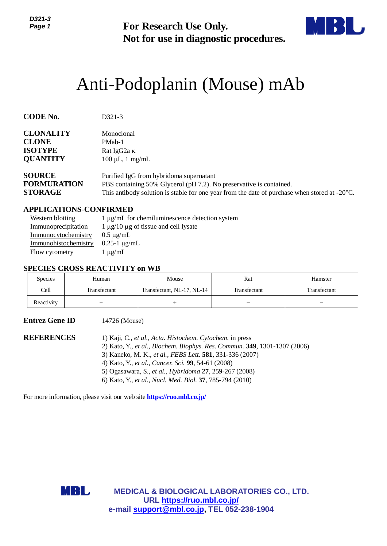

# Anti-Podoplanin (Mouse) mAb

| ⊶ ו ∟ט<br>Page 1                                                                                                                                                                          |     | <b>For Research Use Only.</b><br>Not for use in diagnostic procedures.                                                                                                                                                    |                                                                                                                                                                                                                                                                                                                                                                               |              |              |  |  |
|-------------------------------------------------------------------------------------------------------------------------------------------------------------------------------------------|-----|---------------------------------------------------------------------------------------------------------------------------------------------------------------------------------------------------------------------------|-------------------------------------------------------------------------------------------------------------------------------------------------------------------------------------------------------------------------------------------------------------------------------------------------------------------------------------------------------------------------------|--------------|--------------|--|--|
|                                                                                                                                                                                           |     |                                                                                                                                                                                                                           | Anti-Podoplanin (Mouse) mAb                                                                                                                                                                                                                                                                                                                                                   |              |              |  |  |
| <b>CODE No.</b>                                                                                                                                                                           |     | D321-3                                                                                                                                                                                                                    |                                                                                                                                                                                                                                                                                                                                                                               |              |              |  |  |
| <b>CLONALITY</b><br><b>CLONE</b><br><b>ISOTYPE</b><br><b>QUANTITY</b>                                                                                                                     |     | Monoclonal<br>PMab-1<br>Rat IgG2a K<br>$100 \mu L$ , 1 mg/mL                                                                                                                                                              |                                                                                                                                                                                                                                                                                                                                                                               |              |              |  |  |
| <b>SOURCE</b><br><b>FORMURATION</b><br><b>STORAGE</b>                                                                                                                                     |     | Purified IgG from hybridoma supernatant<br>PBS containing 50% Glycerol (pH 7.2). No preservative is contained.<br>This antibody solution is stable for one year from the date of purchase when stored at $-20^{\circ}$ C. |                                                                                                                                                                                                                                                                                                                                                                               |              |              |  |  |
| <b>APPLICATIONS-CONFIRMED</b><br><b>Western blotting</b><br>Immunoprecipitation<br>Immunocytochemistry<br>Immunohistochemistry<br>Flow cytometry<br><b>SPECIES CROSS REACTIVITY on WB</b> |     | $0.5 \mu g/mL$<br>$0.25 - 1$ µg/mL<br>$1 \mu g/mL$                                                                                                                                                                        | 1 µg/mL for chemiluminescence detection system<br>$1 \mu g/10 \mu g$ of tissue and cell lysate                                                                                                                                                                                                                                                                                |              |              |  |  |
| Species                                                                                                                                                                                   |     | Human                                                                                                                                                                                                                     | Mouse                                                                                                                                                                                                                                                                                                                                                                         | Rat          | Hamster      |  |  |
| Cell                                                                                                                                                                                      |     | Transfectant                                                                                                                                                                                                              | Transfectant, NL-17, NL-14                                                                                                                                                                                                                                                                                                                                                    | Transfectant | Transfectant |  |  |
| Reactivity                                                                                                                                                                                |     |                                                                                                                                                                                                                           | $^{+}$                                                                                                                                                                                                                                                                                                                                                                        |              |              |  |  |
| <b>Entrez Gene ID</b>                                                                                                                                                                     |     | 14726 (Mouse)                                                                                                                                                                                                             |                                                                                                                                                                                                                                                                                                                                                                               |              |              |  |  |
| <b>REFERENCES</b>                                                                                                                                                                         |     |                                                                                                                                                                                                                           | 1) Kaji, C., et al., Acta. Histochem. Cytochem. in press<br>2) Kato, Y., et al., Biochem. Biophys. Res. Commun. 349, 1301-1307 (2006)<br>3) Kaneko, M. K., et al., FEBS Lett. 581, 331-336 (2007)<br>4) Kato, Y., et al., Cancer. Sci. 99, 54-61 (2008)<br>5) Ogasawara, S., et al., Hybridoma 27, 259-267 (2008)<br>6) Kato, Y., et al., Nucl. Med. Biol. 37, 785-794 (2010) |              |              |  |  |
|                                                                                                                                                                                           |     |                                                                                                                                                                                                                           | For more information, please visit our web site <b>https://ruo.mbl.co.jp/</b>                                                                                                                                                                                                                                                                                                 |              |              |  |  |
|                                                                                                                                                                                           | MBL |                                                                                                                                                                                                                           | <b>MEDICAL &amp; BIOLOGICAL LABORATORIES CO., LTD.</b><br>URL https://ruo.mbl.co.jp/<br>e-mail support@mbl.co.jp, TEL 052-238-1904                                                                                                                                                                                                                                            |              |              |  |  |

#### **APPLICATIONS-CONFIRMED**

| Western blotting     | 1 μg/mL for chemiluminescence detection system |
|----------------------|------------------------------------------------|
| Immunoprecipitation  | $1 \mu g/10 \mu g$ of tissue and cell lysate   |
| Immunocytochemistry  | $0.5 \mu$ g/mL                                 |
| Immunohistochemistry | $0.25 - 1 \mu$ g/mL                            |
| Flow cytometry       | $1 \mu g/mL$                                   |

#### **SPECIES CROSS REACTIVITY on WB**

| <b>Species</b> | Human        | Mouse                      | Rat          | Hamster      |
|----------------|--------------|----------------------------|--------------|--------------|
| Cell           | Transfectant | Transfectant, NL-17, NL-14 | Transfectant | Transfectant |
| Reactivity     |              |                            |              | -            |

#### **Entrez Gene ID** 14726 (Mouse)

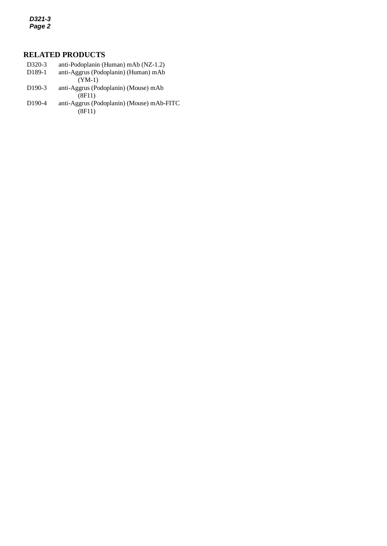*D321-3 Page 2*

# **RELATED PRODUCTS**

D320-3 anti-Podoplanin (Human) mAb (NZ-1.2)<br>D189-1 anti-Aggrus (Podoplanin) (Human) mAb anti-Aggrus (Podoplanin) (Human) mAb (YM-1) D190-3 anti-Aggrus (Podoplanin) (Mouse) mAb (8F11) D190-4 anti-Aggrus (Podoplanin) (Mouse) mAb-FITC (8F11)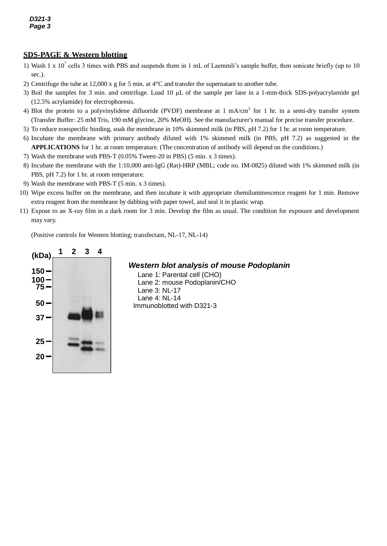# **SDS-PAGE & Western blotting**

- 1) Wash 1 x  $10^7$  cells 3 times with PBS and suspends them in 1 mL of Laemmli's sample buffer, then sonicate briefly (up to 10 sec.).
- 2) Centrifuge the tube at 12,000 x g for 5 min. at  $4^{\circ}$ C and transfer the supernatant to another tube.
- 3) Boil the samples for 3 min. and centrifuge. Load 10  $\mu$ L of the sample per lane in a 1-mm-thick SDS-polyacrylamide gel (12.5% acrylamide) for electrophoresis.
- 4) Blot the protein to a polyvinylidene difluoride (PVDF) membrane at 1 mA/cm<sup>2</sup> for 1 hr. in a semi-dry transfer system (Transfer Buffer: 25 mM Tris, 190 mM glycine, 20% MeOH). See the manufacturer's manual for precise transfer procedure.
- 5) To reduce nonspecific binding, soak the membrane in 10% skimmed milk (in PBS, pH 7.2) for 1 hr. at room temperature.
- 6) Incubate the membrane with primary antibody diluted with 1% skimmed milk (in PBS, pH 7.2) as suggested in the **APPLICATIONS** for 1 hr. at room temperature. (The concentration of antibody will depend on the conditions.)
- 7) Wash the membrane with PBS-T (0.05% Tween-20 in PBS) (5 min. x 3 times).
- 8) Incubate the membrane with the 1:10,000 anti-IgG (Rat)-HRP (MBL; code no. IM-0825) diluted with 1% skimmed milk (in PBS, pH 7.2) for 1 hr. at room temperature.
- 9) Wash the membrane with PBS-T (5 min. x 3 times).
- 10) Wipe excess buffer on the membrane, and then incubate it with appropriate chemiluminescence reagent for 1 min. Remove extra reagent from the membrane by dabbing with paper towel, and seal it in plastic wrap.
- 11) Expose to an X-ray film in a dark room for 3 min. Develop the film as usual. The condition for exposure and development may vary.

(Positive controls for Western blotting; transfectant, NL-17, NL-14)



# *Western blot analysis of mouse Podoplanin*

Lane 1: Parental cell (CHO) Lane 2: mouse Podoplanin/CHO Lane 3: NL-17 Lane 4: NL-14 Immunoblotted with D321-3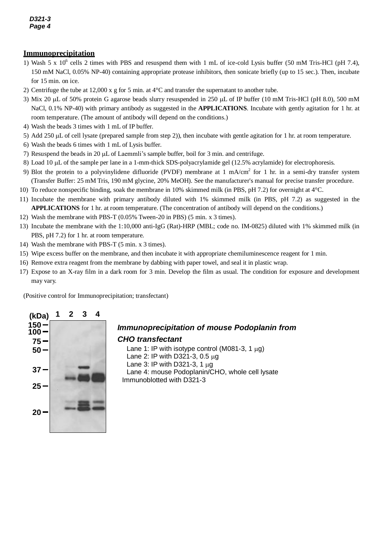#### **Immunoprecipitation**

- 1) Wash 5 x  $10^6$  cells 2 times with PBS and resuspend them with 1 mL of ice-cold Lysis buffer (50 mM Tris-HCl (pH 7.4), 150 mM NaCl, 0.05% NP-40) containing appropriate protease inhibitors, then sonicate briefly (up to 15 sec.). Then, incubate for 15 min. on ice.
- 2) Centrifuge the tube at  $12,000 \times g$  for 5 min. at  $4^{\circ}$ C and transfer the supernatant to another tube.
- 3) Mix 20  $\mu$ L of 50% protein G agarose beads slurry resuspended in 250  $\mu$ L of IP buffer (10 mM Tris-HCl (pH 8.0), 500 mM NaCl, 0.1% NP-40) with primary antibody as suggested in the **APPLICATIONS**. Incubate with gently agitation for 1 hr. at room temperature. (The amount of antibody will depend on the conditions.)
- 4) Wash the beads 3 times with 1 mL of IP buffer.
- 5) Add 250  $\mu$ L of cell lysate (prepared sample from step 2)), then incubate with gentle agitation for 1 hr. at room temperature.
- 6) Wash the beads 6 times with 1 mL of Lysis buffer.
- 7) Resuspend the beads in 20  $\mu$ L of Laemmli's sample buffer, boil for 3 min. and centrifuge.
- 8) Load 10 µL of the sample per lane in a 1-mm-thick SDS-polyacrylamide gel (12.5% acrylamide) for electrophoresis.
- 9) Blot the protein to a polyvinylidene difluoride (PVDF) membrane at 1 mA/cm<sup>2</sup> for 1 hr. in a semi-dry transfer system (Transfer Buffer: 25 mM Tris, 190 mM glycine, 20% MeOH). See the manufacturer's manual for precise transfer procedure.
- 10) To reduce nonspecific binding, soak the membrane in 10% skimmed milk (in PBS, pH 7.2) for overnight at 4°C.
- 11) Incubate the membrane with primary antibody diluted with 1% skimmed milk (in PBS, pH 7.2) as suggested in the **APPLICATIONS** for 1 hr. at room temperature. (The concentration of antibody will depend on the conditions.)
- 12) Wash the membrane with PBS-T (0.05% Tween-20 in PBS) (5 min. x 3 times).
- 13) Incubate the membrane with the 1:10,000 anti-IgG (Rat)-HRP (MBL; code no. IM-0825) diluted with 1% skimmed milk (in PBS, pH 7.2) for 1 hr. at room temperature.
- 14) Wash the membrane with PBS-T (5 min. x 3 times).
- 15) Wipe excess buffer on the membrane, and then incubate it with appropriate chemiluminescence reagent for 1 min.
- 16) Remove extra reagent from the membrane by dabbing with paper towel, and seal it in plastic wrap.
- 17) Expose to an X-ray film in a dark room for 3 min. Develop the film as usual. The condition for exposure and development may vary.

(Positive control for Immunoprecipitation; transfectant)



# *Immunoprecipitation of mouse Podoplanin from*

#### *CHO transfectant*

Lane 1: IP with isotype control (M081-3, 1  $\mu$ g) Lane 2: IP with D321-3, 0.5  $\mu$ g Lane 3: IP with D321-3, 1  $\mu$ g Lane 4: mouse Podoplanin/CHO, whole cell lysate Immunoblotted with D321-3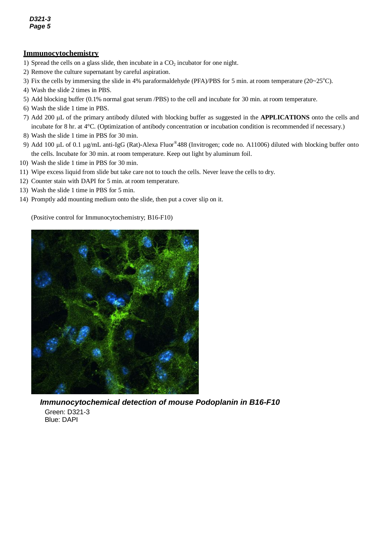#### **Immunocytochemistry**

- 1) Spread the cells on a glass slide, then incubate in a  $CO<sub>2</sub>$  incubator for one night.
- 2) Remove the culture supernatant by careful aspiration.
- 3) Fix the cells by immersing the slide in 4% paraformaldehyde (PFA)/PBS for 5 min. at room temperature ( $20~25^{\circ}$ C).
- 4) Wash the slide 2 times in PBS.
- 5) Add blocking buffer (0.1% normal goat serum /PBS) to the cell and incubate for 30 min. at room temperature.
- 6) Wash the slide 1 time in PBS.
- 7) Add 200  $\mu$ L of the primary antibody diluted with blocking buffer as suggested in the **APPLICATIONS** onto the cells and incubate for 8 hr. at 4°C. (Optimization of antibody concentration or incubation condition is recommended if necessary.)
- 8) Wash the slide 1 time in PBS for 30 min.
- 9) Add 100 µL of 0.1 µg/mL anti-IgG (Rat)-Alexa Fluor®488 (Invitrogen; code no. A11006) diluted with blocking buffer onto the cells. Incubate for 30 min. at room temperature. Keep out light by aluminum foil.
- 10) Wash the slide 1 time in PBS for 30 min.
- 11) Wipe excess liquid from slide but take care not to touch the cells. Never leave the cells to dry.
- 12) Counter stain with DAPI for 5 min. at room temperature.
- 13) Wash the slide 1 time in PBS for 5 min.
- 14) Promptly add mounting medium onto the slide, then put a cover slip on it.

(Positive control for Immunocytochemistry; B16-F10)



*Immunocytochemical detection of mouse Podoplanin in B16-F10* Green: D321-3 Blue: DAPI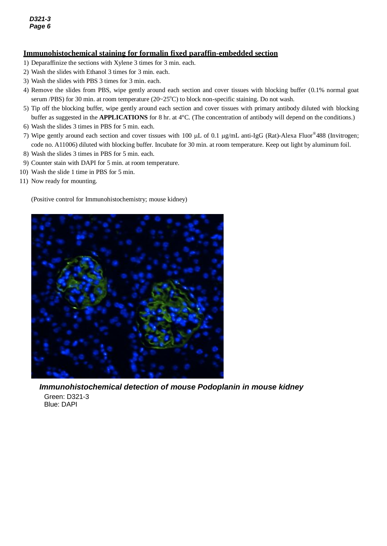# **Immunohistochemical staining for formalin fixed paraffin-embedded section**

- 1) Deparaffinize the sections with Xylene 3 times for 3 min. each.
- 2) Wash the slides with Ethanol 3 times for 3 min. each.
- 3) Wash the slides with PBS 3 times for 3 min. each.
- 4) Remove the slides from PBS, wipe gently around each section and cover tissues with blocking buffer (0.1% normal goat serum /PBS) for 30 min. at room temperature  $(20~25^{\circ}C)$  to block non-specific staining. Do not wash.
- 5) Tip off the blocking buffer, wipe gently around each section and cover tissues with primary antibody diluted with blocking buffer as suggested in the **APPLICATIONS** for 8 hr. at 4°C. (The concentration of antibody will depend on the conditions.)
- 6) Wash the slides 3 times in PBS for 5 min. each.
- 7) Wipe gently around each section and cover tissues with 100  $\mu$ L of 0.1  $\mu$ g/mL anti-IgG (Rat)-Alexa Fluor®488 (Invitrogen; code no. A11006) diluted with blocking buffer. Incubate for 30 min. at room temperature. Keep out light by aluminum foil.
- 8) Wash the slides 3 times in PBS for 5 min. each.
- 9) Counter stain with DAPI for 5 min. at room temperature.
- 10) Wash the slide 1 time in PBS for 5 min.
- 11) Now ready for mounting.

(Positive control for Immunohistochemistry; mouse kidney)



*Immunohistochemical detection of mouse Podoplanin in mouse kidney* Green: D321-3 Blue: DAPI